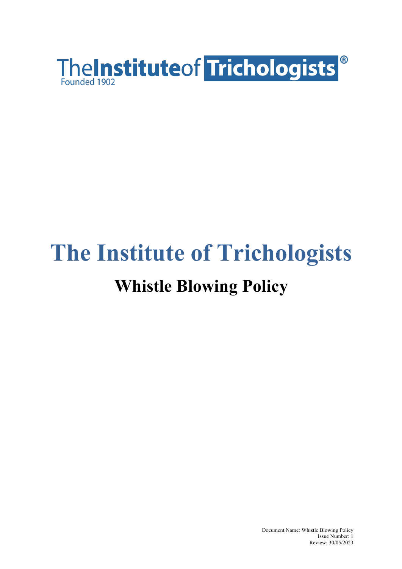

# **The Institute of Trichologists Whistle Blowing Policy**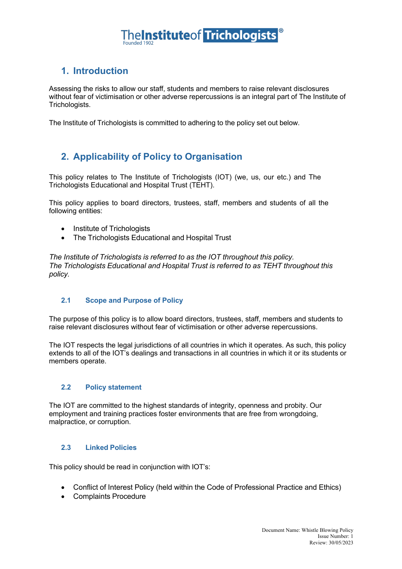## **TheInstituteof Trichologists**

#### **1. Introduction**

Assessing the risks to allow our staff, students and members to raise relevant disclosures without fear of victimisation or other adverse repercussions is an integral part of The Institute of Trichologists.

The Institute of Trichologists is committed to adhering to the policy set out below.

#### **2. Applicability of Policy to Organisation**

This policy relates to The Institute of Trichologists (IOT) (we, us, our etc.) and The Trichologists Educational and Hospital Trust (TEHT).

This policy applies to board directors, trustees, staff, members and students of all the following entities:

- Institute of Trichologists
- The Trichologists Educational and Hospital Trust

*The Institute of Trichologists is referred to as the IOT throughout this policy. The Trichologists Educational and Hospital Trust is referred to as TEHT throughout this policy.*

#### **2.1 Scope and Purpose of Policy**

The purpose of this policy is to allow board directors, trustees, staff, members and students to raise relevant disclosures without fear of victimisation or other adverse repercussions.

The IOT respects the legal jurisdictions of all countries in which it operates. As such, this policy extends to all of the IOT's dealings and transactions in all countries in which it or its students or members operate.

#### **2.2 Policy statement**

The IOT are committed to the highest standards of integrity, openness and probity. Our employment and training practices foster environments that are free from wrongdoing, malpractice, or corruption.

#### **2.3 Linked Policies**

This policy should be read in conjunction with IOT's:

- Conflict of Interest Policy (held within the Code of Professional Practice and Ethics)
- Complaints Procedure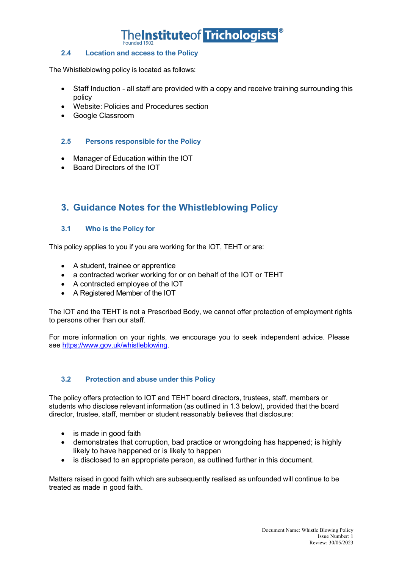

#### **2.4 Location and access to the Policy**

The Whistleblowing policy is located as follows:

- Staff Induction all staff are provided with a copy and receive training surrounding this policy
- Website: Policies and Procedures section
- Google Classroom

#### **2.5 Persons responsible for the Policy**

- Manager of Education within the IOT
- Board Directors of the IOT

#### **3. Guidance Notes for the Whistleblowing Policy**

#### **3.1 Who is the Policy for**

This policy applies to you if you are working for the IOT, TEHT or are:

- A student, trainee or apprentice
- a contracted worker working for or on behalf of the IOT or TEHT
- A contracted employee of the IOT
- A Registered Member of the IOT

The IOT and the TEHT is not a Prescribed Body, we cannot offer protection of employment rights to persons other than our staff.

For more information on your rights, we encourage you to seek independent advice. Please see https://www.gov.uk/whistleblowing.

#### **3.2 Protection and abuse under this Policy**

The policy offers protection to IOT and TEHT board directors, trustees, staff, members or students who disclose relevant information (as outlined in 1.3 below), provided that the board director, trustee, staff, member or student reasonably believes that disclosure:

- is made in good faith
- demonstrates that corruption, bad practice or wrongdoing has happened; is highly likely to have happened or is likely to happen
- is disclosed to an appropriate person, as outlined further in this document.

Matters raised in good faith which are subsequently realised as unfounded will continue to be treated as made in good faith.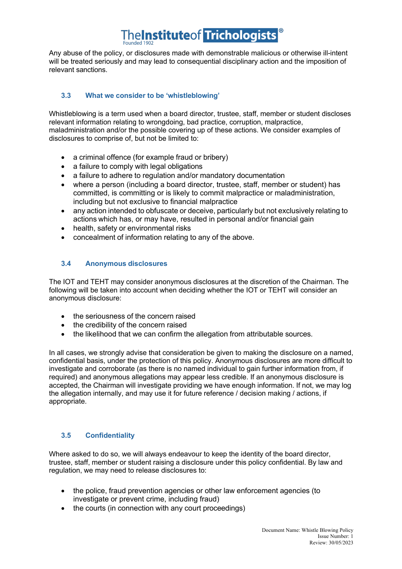## **TheInstituteof Trichologists**

Any abuse of the policy, or disclosures made with demonstrable malicious or otherwise ill-intent will be treated seriously and may lead to consequential disciplinary action and the imposition of relevant sanctions.

#### **3.3 What we consider to be 'whistleblowing'**

Whistleblowing is a term used when a board director, trustee, staff, member or student discloses relevant information relating to wrongdoing, bad practice, corruption, malpractice, maladministration and/or the possible covering up of these actions. We consider examples of disclosures to comprise of, but not be limited to:

- a criminal offence (for example fraud or bribery)
- a failure to comply with legal obligations
- a failure to adhere to regulation and/or mandatory documentation
- where a person (including a board director, trustee, staff, member or student) has committed, is committing or is likely to commit malpractice or maladministration, including but not exclusive to financial malpractice
- any action intended to obfuscate or deceive, particularly but not exclusively relating to actions which has, or may have, resulted in personal and/or financial gain
- health, safety or environmental risks
- concealment of information relating to any of the above.

#### **3.4 Anonymous disclosures**

The IOT and TEHT may consider anonymous disclosures at the discretion of the Chairman. The following will be taken into account when deciding whether the IOT or TEHT will consider an anonymous disclosure:

- the seriousness of the concern raised
- the credibility of the concern raised
- the likelihood that we can confirm the allegation from attributable sources.

In all cases, we strongly advise that consideration be given to making the disclosure on a named, confidential basis, under the protection of this policy. Anonymous disclosures are more difficult to investigate and corroborate (as there is no named individual to gain further information from, if required) and anonymous allegations may appear less credible. If an anonymous disclosure is accepted, the Chairman will investigate providing we have enough information. If not, we may log the allegation internally, and may use it for future reference / decision making / actions, if appropriate.

#### **3.5 Confidentiality**

Where asked to do so, we will always endeavour to keep the identity of the board director, trustee, staff, member or student raising a disclosure under this policy confidential. By law and regulation, we may need to release disclosures to:

- the police, fraud prevention agencies or other law enforcement agencies (to investigate or prevent crime, including fraud)
- the courts (in connection with any court proceedings)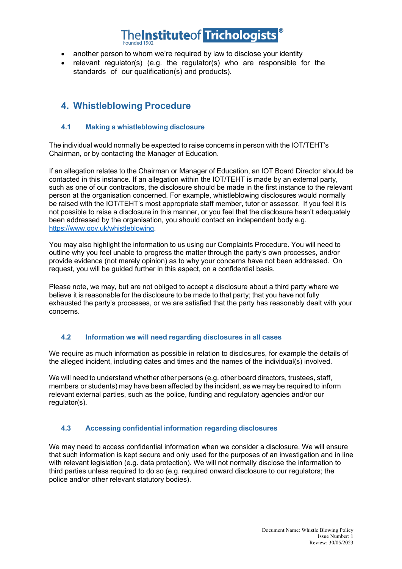### **neInstituteof Trichologists**

- another person to whom we're required by law to disclose your identity
- relevant regulator(s) (e.g. the regulator(s) who are responsible for the standards of our qualification(s) and products).

#### **4. Whistleblowing Procedure**

#### **4.1 Making a whistleblowing disclosure**

The individual would normally be expected to raise concerns in person with the IOT/TEHT's Chairman, or by contacting the Manager of Education.

If an allegation relates to the Chairman or Manager of Education, an IOT Board Director should be contacted in this instance. If an allegation within the IOT/TEHT is made by an external party, such as one of our contractors, the disclosure should be made in the first instance to the relevant person at the organisation concerned. For example, whistleblowing disclosures would normally be raised with the IOT/TEHT's most appropriate staff member, tutor or assessor. If you feel it is not possible to raise a disclosure in this manner, or you feel that the disclosure hasn't adequately been addressed by the organisation, you should contact an independent body e.g. https://www.gov.uk/whistleblowing.

You may also highlight the information to us using our Complaints Procedure. You will need to outline why you feel unable to progress the matter through the party's own processes, and/or provide evidence (not merely opinion) as to why your concerns have not been addressed. On request, you will be guided further in this aspect, on a confidential basis.

Please note, we may, but are not obliged to accept a disclosure about a third party where we believe it is reasonable for the disclosure to be made to that party; that you have not fully exhausted the party's processes, or we are satisfied that the party has reasonably dealt with your concerns.

#### **4.2 Information we will need regarding disclosures in all cases**

We require as much information as possible in relation to disclosures, for example the details of the alleged incident, including dates and times and the names of the individual(s) involved.

We will need to understand whether other persons (e.g. other board directors, trustees, staff, members or students) may have been affected by the incident, as we may be required to inform relevant external parties, such as the police, funding and regulatory agencies and/or our regulator(s).

#### **4.3 Accessing confidential information regarding disclosures**

We may need to access confidential information when we consider a disclosure. We will ensure that such information is kept secure and only used for the purposes of an investigation and in line with relevant legislation (e.g. data protection). We will not normally disclose the information to third parties unless required to do so (e.g. required onward disclosure to our regulators; the police and/or other relevant statutory bodies).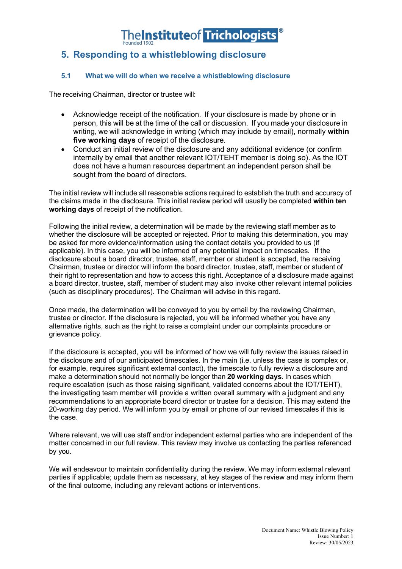#### **5. Responding to a whistleblowing disclosure**

#### **5.1 What we will do when we receive a whistleblowing disclosure**

The receiving Chairman, director or trustee will:

- Acknowledge receipt of the notification. If your disclosure is made by phone or in person, this will be at the time of the call or discussion. If you made your disclosure in writing, we will acknowledge in writing (which may include by email), normally **within five working days** of receipt of the disclosure.
- Conduct an initial review of the disclosure and any additional evidence (or confirm internally by email that another relevant IOT/TEHT member is doing so). As the IOT does not have a human resources department an independent person shall be sought from the board of directors.

The initial review will include all reasonable actions required to establish the truth and accuracy of the claims made in the disclosure. This initial review period will usually be completed **within ten working days** of receipt of the notification.

Following the initial review, a determination will be made by the reviewing staff member as to whether the disclosure will be accepted or rejected. Prior to making this determination, you may be asked for more evidence/information using the contact details you provided to us (if applicable). In this case, you will be informed of any potential impact on timescales. If the disclosure about a board director, trustee, staff, member or student is accepted, the receiving Chairman, trustee or director will inform the board director, trustee, staff, member or student of their right to representation and how to access this right. Acceptance of a disclosure made against a board director, trustee, staff, member of student may also invoke other relevant internal policies (such as disciplinary procedures). The Chairman will advise in this regard.

Once made, the determination will be conveyed to you by email by the reviewing Chairman, trustee or director. If the disclosure is rejected, you will be informed whether you have any alternative rights, such as the right to raise a complaint under our complaints procedure or grievance policy.

If the disclosure is accepted, you will be informed of how we will fully review the issues raised in the disclosure and of our anticipated timescales. In the main (i.e. unless the case is complex or, for example, requires significant external contact), the timescale to fully review a disclosure and make a determination should not normally be longer than **20 working days**. In cases which require escalation (such as those raising significant, validated concerns about the IOT/TEHT), the investigating team member will provide a written overall summary with a judgment and any recommendations to an appropriate board director or trustee for a decision. This may extend the 20-working day period. We will inform you by email or phone of our revised timescales if this is the case.

Where relevant, we will use staff and/or independent external parties who are independent of the matter concerned in our full review. This review may involve us contacting the parties referenced by you.

We will endeavour to maintain confidentiality during the review. We may inform external relevant parties if applicable; update them as necessary, at key stages of the review and may inform them of the final outcome, including any relevant actions or interventions.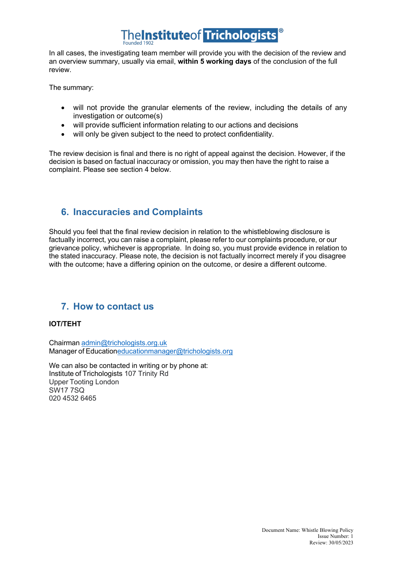## TheInstituteof Trichologists

In all cases, the investigating team member will provide you with the decision of the review and an overview summary, usually via email, **within 5 working days** of the conclusion of the full review.

The summary:

- will not provide the granular elements of the review, including the details of any investigation or outcome(s)
- will provide sufficient information relating to our actions and decisions
- will only be given subject to the need to protect confidentiality.

The review decision is final and there is no right of appeal against the decision. However, if the decision is based on factual inaccuracy or omission, you may then have the right to raise a complaint. Please see section 4 below.

#### **6. Inaccuracies and Complaints**

Should you feel that the final review decision in relation to the whistleblowing disclosure is factually incorrect, you can raise a complaint, please refer to our complaints procedure, or our grievance policy, whichever is appropriate. In doing so, you must provide evidence in relation to the stated inaccuracy. Please note, the decision is not factually incorrect merely if you disagree with the outcome; have a differing opinion on the outcome, or desire a different outcome.

#### **7. How to contact us**

#### **IOT/TEHT**

Chairman admin@trichologists.org.uk Manager of Educationeducationmanager@trichologists.org

We can also be contacted in writing or by phone at: Institute of Trichologists 107 Trinity Rd Upper Tooting London SW17 7SQ 020 4532 6465